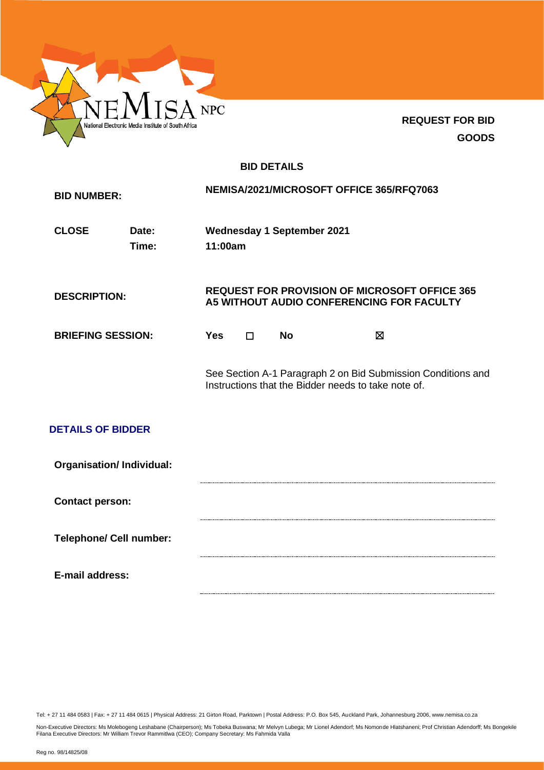

**REQUEST FOR BID GOODS**

# **BID DETAILS**

| <b>BID NUMBER:</b>              |                |            |                                                                                                   |                                   | NEMISA/2021/MICROSOFT OFFICE 365/RFQ7063                                                                            |  |
|---------------------------------|----------------|------------|---------------------------------------------------------------------------------------------------|-----------------------------------|---------------------------------------------------------------------------------------------------------------------|--|
| <b>CLOSE</b>                    | Date:<br>Time: | 11:00am    |                                                                                                   | <b>Wednesday 1 September 2021</b> |                                                                                                                     |  |
| <b>DESCRIPTION:</b>             |                |            | <b>REQUEST FOR PROVISION OF MICROSOFT OFFICE 365</b><br>A5 WITHOUT AUDIO CONFERENCING FOR FACULTY |                                   |                                                                                                                     |  |
| <b>BRIEFING SESSION:</b>        |                | <b>Yes</b> | $\Box$                                                                                            | <b>No</b>                         | X                                                                                                                   |  |
| <b>DETAILS OF BIDDER</b>        |                |            |                                                                                                   |                                   | See Section A-1 Paragraph 2 on Bid Submission Conditions and<br>Instructions that the Bidder needs to take note of. |  |
| <b>Organisation/Individual:</b> |                |            |                                                                                                   |                                   |                                                                                                                     |  |
| <b>Contact person:</b>          |                |            |                                                                                                   |                                   |                                                                                                                     |  |
| <b>Telephone/ Cell number:</b>  |                |            |                                                                                                   |                                   |                                                                                                                     |  |
| E-mail address:                 |                |            |                                                                                                   |                                   |                                                                                                                     |  |

Tel: + 27 11 484 0583 | Fax: + 27 11 484 0615 | Physical Address: 21 Girton Road, Parktown | Postal Address: P.O. Box 545, Auckland Park, Johannesburg 2006, www.nemisa.co.za

Non-Executive Directors: Ms Molebogeng Leshabane (Chairperson); Ms Tobeka Buswana; Mr Melvyn Lubega; Mr Lionel Adendorf; Ms Nomonde Hlatshaneni; Prof Christian Adendorff; Ms Bongekile<br>Filana Executive Directors: Mr William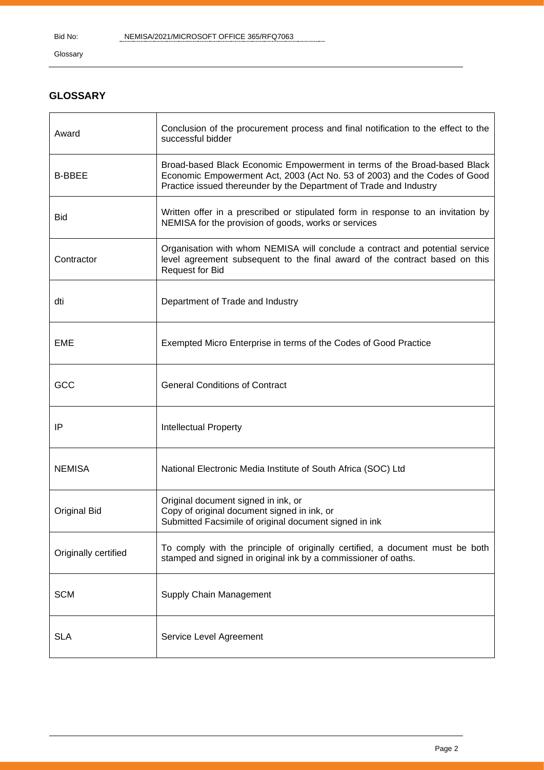Glossary

# **GLOSSARY**

| Award                | Conclusion of the procurement process and final notification to the effect to the<br>successful bidder                                                                                                                      |
|----------------------|-----------------------------------------------------------------------------------------------------------------------------------------------------------------------------------------------------------------------------|
| <b>B-BBEE</b>        | Broad-based Black Economic Empowerment in terms of the Broad-based Black<br>Economic Empowerment Act, 2003 (Act No. 53 of 2003) and the Codes of Good<br>Practice issued thereunder by the Department of Trade and Industry |
| <b>Bid</b>           | Written offer in a prescribed or stipulated form in response to an invitation by<br>NEMISA for the provision of goods, works or services                                                                                    |
| Contractor           | Organisation with whom NEMISA will conclude a contract and potential service<br>level agreement subsequent to the final award of the contract based on this<br><b>Request for Bid</b>                                       |
| dti                  | Department of Trade and Industry                                                                                                                                                                                            |
| <b>EME</b>           | Exempted Micro Enterprise in terms of the Codes of Good Practice                                                                                                                                                            |
| GCC                  | <b>General Conditions of Contract</b>                                                                                                                                                                                       |
| IP                   | <b>Intellectual Property</b>                                                                                                                                                                                                |
| <b>NEMISA</b>        | National Electronic Media Institute of South Africa (SOC) Ltd                                                                                                                                                               |
| <b>Original Bid</b>  | Original document signed in ink, or<br>Copy of original document signed in ink, or<br>Submitted Facsimile of original document signed in ink                                                                                |
| Originally certified | To comply with the principle of originally certified, a document must be both<br>stamped and signed in original ink by a commissioner of oaths.                                                                             |
| <b>SCM</b>           | Supply Chain Management                                                                                                                                                                                                     |
| <b>SLA</b>           | Service Level Agreement                                                                                                                                                                                                     |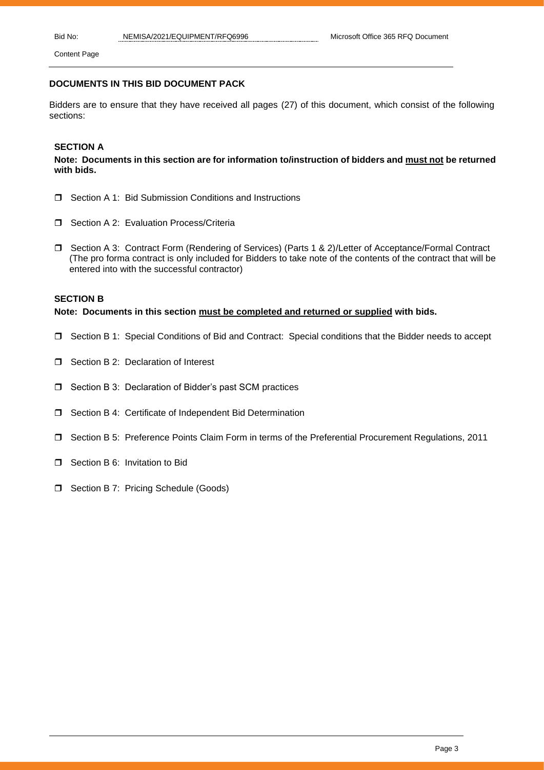### **DOCUMENTS IN THIS BID DOCUMENT PACK**

Bidders are to ensure that they have received all pages (27) of this document, which consist of the following sections:

# **SECTION A**

### **Note: Documents in this section are for information to/instruction of bidders and must not be returned with bids.**

- Section A 1: Bid Submission Conditions and Instructions
- **J** Section A 2: Evaluation Process/Criteria
- □ Section A 3: Contract Form (Rendering of Services) (Parts 1 & 2)/Letter of Acceptance/Formal Contract (The pro forma contract is only included for Bidders to take note of the contents of the contract that will be entered into with the successful contractor)

### **SECTION B**

**Note: Documents in this section must be completed and returned or supplied with bids.**

- Section B 1: Special Conditions of Bid and Contract: Special conditions that the Bidder needs to accept
- □ Section B 2: Declaration of Interest
- $\square$  Section B 3: Declaration of Bidder's past SCM practices
- $\square$  Section B 4: Certificate of Independent Bid Determination
- Section B 5: Preference Points Claim Form in terms of the Preferential Procurement Regulations, 2011
- □ Section B 6: Invitation to Bid
- □ Section B 7: Pricing Schedule (Goods)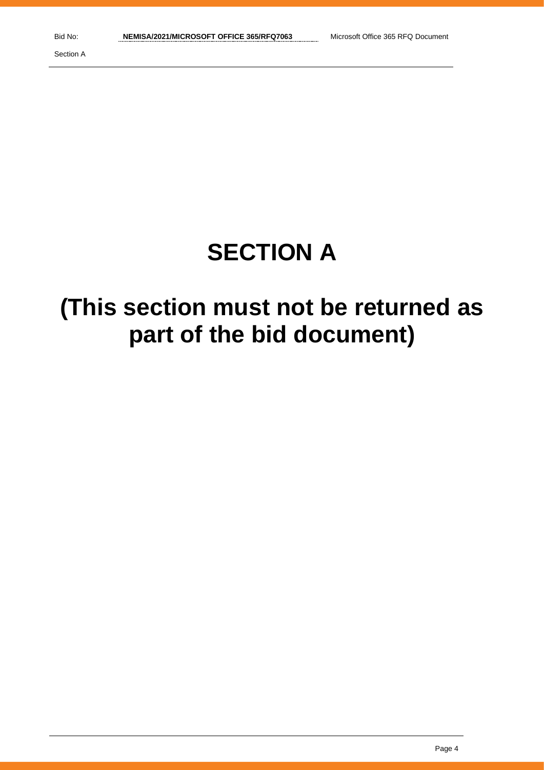# **SECTION A**

# **(This section must not be returned as part of the bid document)**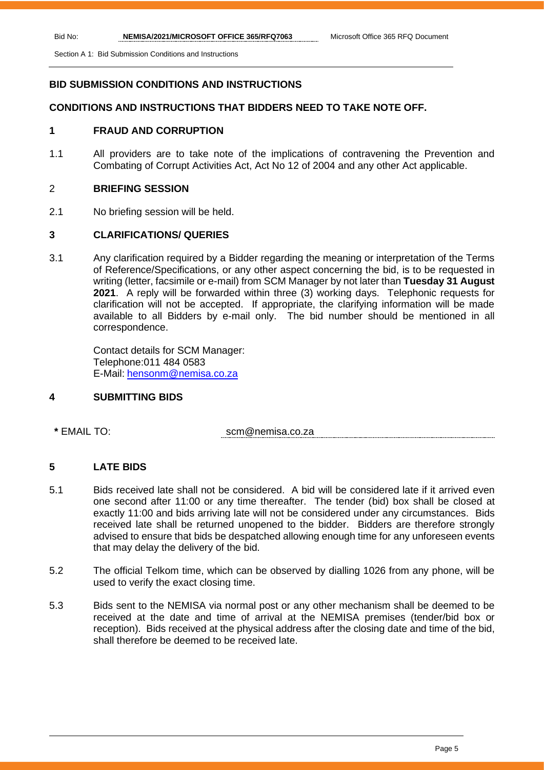Section A 1: Bid Submission Conditions and Instructions

# **BID SUBMISSION CONDITIONS AND INSTRUCTIONS**

# **CONDITIONS AND INSTRUCTIONS THAT BIDDERS NEED TO TAKE NOTE OFF.**

# **1 FRAUD AND CORRUPTION**

1.1 All providers are to take note of the implications of contravening the Prevention and Combating of Corrupt Activities Act, Act No 12 of 2004 and any other Act applicable.

# 2 **BRIEFING SESSION**

2.1 No briefing session will be held.

# **3 CLARIFICATIONS/ QUERIES**

3.1 Any clarification required by a Bidder regarding the meaning or interpretation of the Terms of Reference/Specifications, or any other aspect concerning the bid, is to be requested in writing (letter, facsimile or e-mail) from SCM Manager by not later than **Tuesday 31 August 2021**. A reply will be forwarded within three (3) working days. Telephonic requests for clarification will not be accepted. If appropriate, the clarifying information will be made available to all Bidders by e-mail only. The bid number should be mentioned in all correspondence.

Contact details for SCM Manager: Telephone:011 484 0583 E-Mail: [hensonm@nemisa.co.za](mailto:hensonm@nemisa.co.za)

# **4 SUBMITTING BIDS**

**\*** EMAIL TO: scm@nemisa.co.za

# **5 LATE BIDS**

- 5.1 Bids received late shall not be considered. A bid will be considered late if it arrived even one second after 11:00 or any time thereafter. The tender (bid) box shall be closed at exactly 11:00 and bids arriving late will not be considered under any circumstances. Bids received late shall be returned unopened to the bidder. Bidders are therefore strongly advised to ensure that bids be despatched allowing enough time for any unforeseen events that may delay the delivery of the bid.
- 5.2 The official Telkom time, which can be observed by dialling 1026 from any phone, will be used to verify the exact closing time.
- 5.3 Bids sent to the NEMISA via normal post or any other mechanism shall be deemed to be received at the date and time of arrival at the NEMISA premises (tender/bid box or reception). Bids received at the physical address after the closing date and time of the bid, shall therefore be deemed to be received late.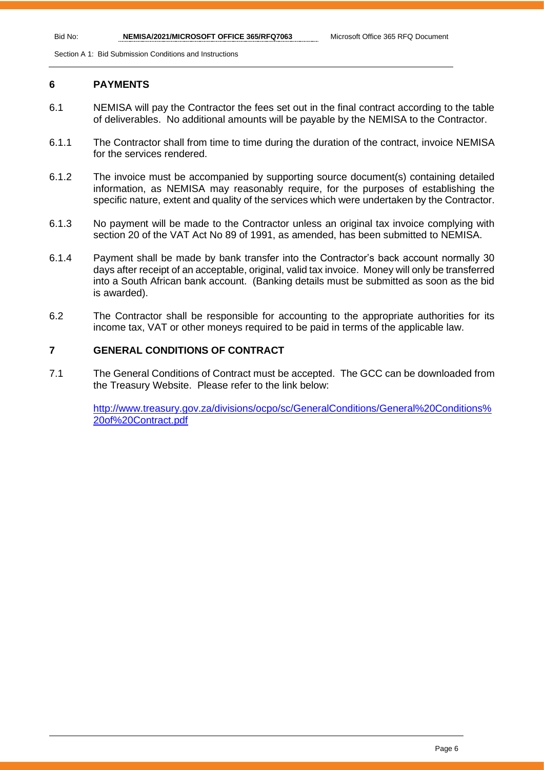Section A 1: Bid Submission Conditions and Instructions

## **6 PAYMENTS**

- 6.1 NEMISA will pay the Contractor the fees set out in the final contract according to the table of deliverables. No additional amounts will be payable by the NEMISA to the Contractor.
- 6.1.1 The Contractor shall from time to time during the duration of the contract, invoice NEMISA for the services rendered.
- 6.1.2 The invoice must be accompanied by supporting source document(s) containing detailed information, as NEMISA may reasonably require, for the purposes of establishing the specific nature, extent and quality of the services which were undertaken by the Contractor.
- 6.1.3 No payment will be made to the Contractor unless an original tax invoice complying with section 20 of the VAT Act No 89 of 1991, as amended, has been submitted to NEMISA.
- 6.1.4 Payment shall be made by bank transfer into the Contractor's back account normally 30 days after receipt of an acceptable, original, valid tax invoice. Money will only be transferred into a South African bank account. (Banking details must be submitted as soon as the bid is awarded).
- 6.2 The Contractor shall be responsible for accounting to the appropriate authorities for its income tax, VAT or other moneys required to be paid in terms of the applicable law.

# **7 GENERAL CONDITIONS OF CONTRACT**

7.1 The General Conditions of Contract must be accepted. The GCC can be downloaded from the Treasury Website. Please refer to the link below:

[http://www.treasury.gov.za/divisions/ocpo/sc/GeneralConditions/General%20Conditions%](http://www.treasury.gov.za/divisions/ocpo/sc/GeneralConditions/General%20Conditions%20of%20Contract.pdf) [20of%20Contract.pdf](http://www.treasury.gov.za/divisions/ocpo/sc/GeneralConditions/General%20Conditions%20of%20Contract.pdf)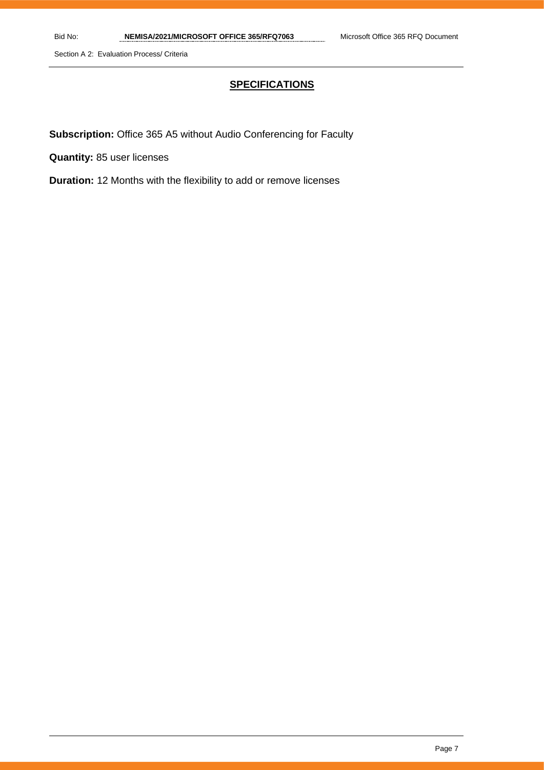Section A 2: Evaluation Process/ Criteria

# **SPECIFICATIONS**

**Subscription:** Office 365 A5 without Audio Conferencing for Faculty

**Quantity:** 85 user licenses

**Duration:** 12 Months with the flexibility to add or remove licenses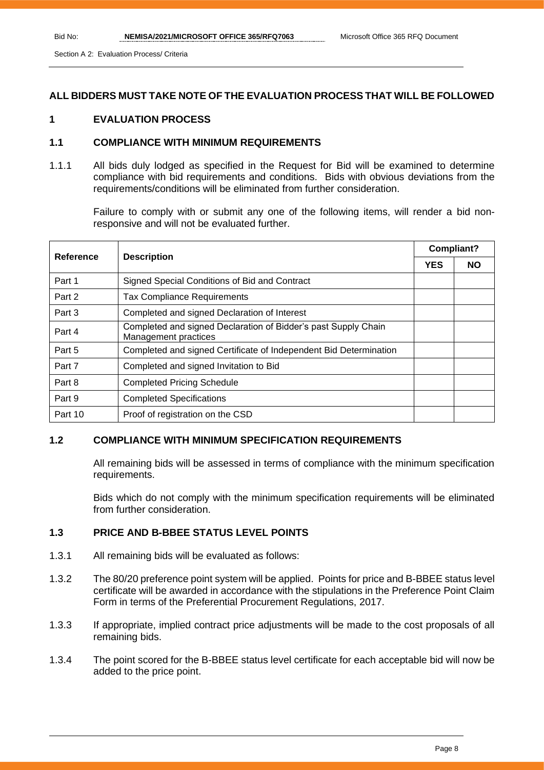Section A 2: Evaluation Process/ Criteria

# **ALL BIDDERS MUST TAKE NOTE OF THE EVALUATION PROCESS THAT WILL BE FOLLOWED**

# **1 EVALUATION PROCESS**

# **1.1 COMPLIANCE WITH MINIMUM REQUIREMENTS**

1.1.1 All bids duly lodged as specified in the Request for Bid will be examined to determine compliance with bid requirements and conditions. Bids with obvious deviations from the requirements/conditions will be eliminated from further consideration.

Failure to comply with or submit any one of the following items, will render a bid nonresponsive and will not be evaluated further.

| Reference | <b>Description</b>                                                                     |  | <b>Compliant?</b> |  |
|-----------|----------------------------------------------------------------------------------------|--|-------------------|--|
|           |                                                                                        |  | <b>NO</b>         |  |
| Part 1    | Signed Special Conditions of Bid and Contract                                          |  |                   |  |
| Part 2    | <b>Tax Compliance Requirements</b>                                                     |  |                   |  |
| Part 3    | Completed and signed Declaration of Interest                                           |  |                   |  |
| Part 4    | Completed and signed Declaration of Bidder's past Supply Chain<br>Management practices |  |                   |  |
| Part 5    | Completed and signed Certificate of Independent Bid Determination                      |  |                   |  |
| Part 7    | Completed and signed Invitation to Bid                                                 |  |                   |  |
| Part 8    | <b>Completed Pricing Schedule</b>                                                      |  |                   |  |
| Part 9    | <b>Completed Specifications</b>                                                        |  |                   |  |
| Part 10   | Proof of registration on the CSD                                                       |  |                   |  |

# **1.2 COMPLIANCE WITH MINIMUM SPECIFICATION REQUIREMENTS**

All remaining bids will be assessed in terms of compliance with the minimum specification requirements.

Bids which do not comply with the minimum specification requirements will be eliminated from further consideration.

# **1.3 PRICE AND B-BBEE STATUS LEVEL POINTS**

- 1.3.1 All remaining bids will be evaluated as follows:
- 1.3.2 The 80/20 preference point system will be applied. Points for price and B-BBEE status level certificate will be awarded in accordance with the stipulations in the Preference Point Claim Form in terms of the Preferential Procurement Regulations, 2017.
- 1.3.3 If appropriate, implied contract price adjustments will be made to the cost proposals of all remaining bids.
- 1.3.4 The point scored for the B-BBEE status level certificate for each acceptable bid will now be added to the price point.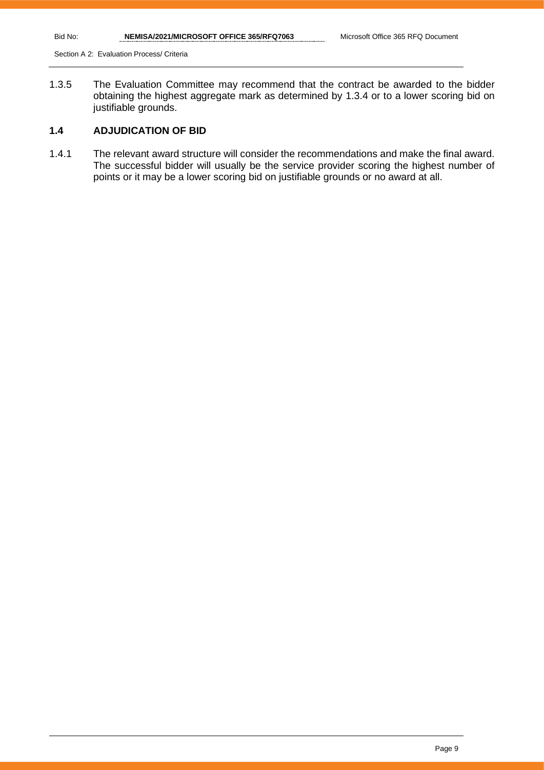Section A 2: Evaluation Process/ Criteria

1.3.5 The Evaluation Committee may recommend that the contract be awarded to the bidder obtaining the highest aggregate mark as determined by 1.3.4 or to a lower scoring bid on justifiable grounds.

# **1.4 ADJUDICATION OF BID**

1.4.1 The relevant award structure will consider the recommendations and make the final award. The successful bidder will usually be the service provider scoring the highest number of points or it may be a lower scoring bid on justifiable grounds or no award at all.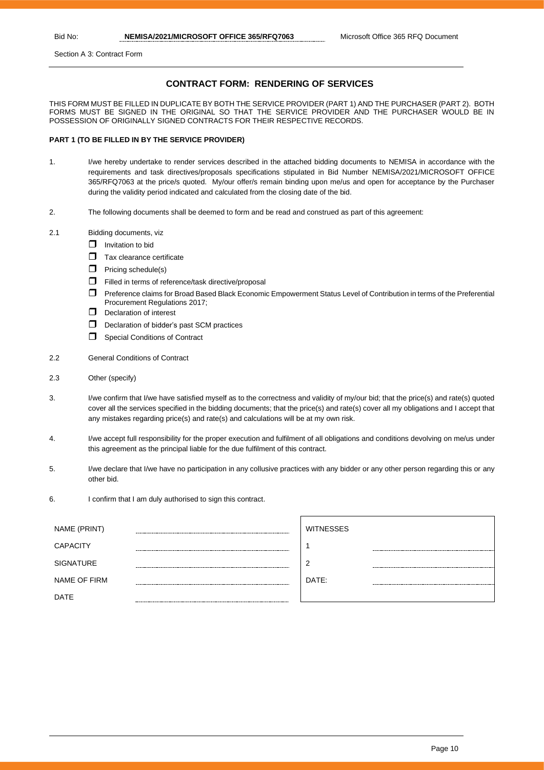Section A 3: Contract Form

### **CONTRACT FORM: RENDERING OF SERVICES**

THIS FORM MUST BE FILLED IN DUPLICATE BY BOTH THE SERVICE PROVIDER (PART 1) AND THE PURCHASER (PART 2). BOTH FORMS MUST BE SIGNED IN THE ORIGINAL SO THAT THE SERVICE PROVIDER AND THE PURCHASER WOULD BE IN POSSESSION OF ORIGINALLY SIGNED CONTRACTS FOR THEIR RESPECTIVE RECORDS.

#### **PART 1 (TO BE FILLED IN BY THE SERVICE PROVIDER)**

- 1. I/we hereby undertake to render services described in the attached bidding documents to NEMISA in accordance with the requirements and task directives/proposals specifications stipulated in Bid Number NEMISA/2021/MICROSOFT OFFICE 365/RFQ7063 at the price/s quoted. My/our offer/s remain binding upon me/us and open for acceptance by the Purchaser during the validity period indicated and calculated from the closing date of the bid.
- 2. The following documents shall be deemed to form and be read and construed as part of this agreement:
- 2.1 Bidding documents, viz
	- $\Box$  Invitation to bid
	- $\Box$  Tax clearance certificate
	- $\Box$  Pricing schedule(s)
	- Filled in terms of reference/task directive/proposal
	- Preference claims for Broad Based Black Economic Empowerment Status Level of Contribution in terms of the Preferential Procurement Regulations 2017;
	- $\Box$  Declaration of interest
	- D Declaration of bidder's past SCM practices
	- **C** Special Conditions of Contract
- 2.2 General Conditions of Contract
- 2.3 Other (specify)
- 3. I/we confirm that I/we have satisfied myself as to the correctness and validity of my/our bid; that the price(s) and rate(s) quoted cover all the services specified in the bidding documents; that the price(s) and rate(s) cover all my obligations and I accept that any mistakes regarding price(s) and rate(s) and calculations will be at my own risk.
- 4. I/we accept full responsibility for the proper execution and fulfilment of all obligations and conditions devolving on me/us under this agreement as the principal liable for the due fulfilment of this contract.
- 5. I/we declare that I/we have no participation in any collusive practices with any bidder or any other person regarding this or any other bid.
- 6. I confirm that I am duly authorised to sign this contract.

| NAME (PRINT)     | <b>WITNESSES</b> |  |
|------------------|------------------|--|
| <b>CAPACITY</b>  |                  |  |
| <b>SIGNATURE</b> |                  |  |
| NAME OF FIRM     | DATE:            |  |
| <b>DATE</b>      |                  |  |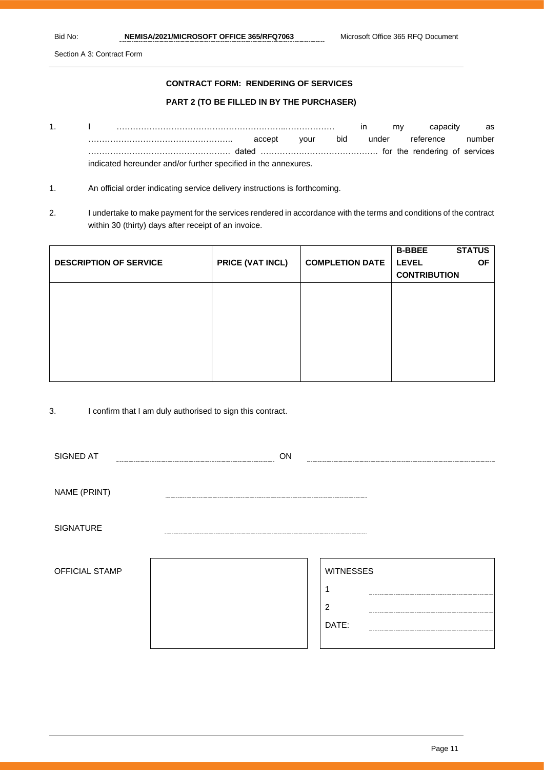Section A 3: Contract Form

### **CONTRACT FORM: RENDERING OF SERVICES**

### **PART 2 (TO BE FILLED IN BY THE PURCHASER)**

- 1. I ……………………………………………………..……………… in my capacity as …………………………………………….. accept your bid under reference number ……………………………………………. dated ……………………………………. for the rendering of services indicated hereunder and/or further specified in the annexures.
- 1. An official order indicating service delivery instructions is forthcoming.
- 2. I undertake to make payment for the services rendered in accordance with the terms and conditions of the contract within 30 (thirty) days after receipt of an invoice.

| <b>DESCRIPTION OF SERVICE</b> | <b>PRICE (VAT INCL)</b> | <b>COMPLETION DATE</b> | <b>B-BBEE</b><br><b>LEVEL</b> | <b>STATUS</b><br><b>OF</b> |
|-------------------------------|-------------------------|------------------------|-------------------------------|----------------------------|
|                               |                         |                        | <b>CONTRIBUTION</b>           |                            |
|                               |                         |                        |                               |                            |
|                               |                         |                        |                               |                            |
|                               |                         |                        |                               |                            |
|                               |                         |                        |                               |                            |
|                               |                         |                        |                               |                            |
|                               |                         |                        |                               |                            |
|                               |                         |                        |                               |                            |

3. I confirm that I am duly authorised to sign this contract.

| SIGNED AT        | ON |                  |  |
|------------------|----|------------------|--|
|                  |    |                  |  |
| NAME (PRINT)     |    |                  |  |
|                  |    |                  |  |
| <b>SIGNATURE</b> |    |                  |  |
|                  |    |                  |  |
| OFFICIAL STAMP   |    | <b>WITNESSES</b> |  |
|                  |    | ٩                |  |
|                  |    | $\overline{2}$   |  |
|                  |    | DATE:            |  |
|                  |    |                  |  |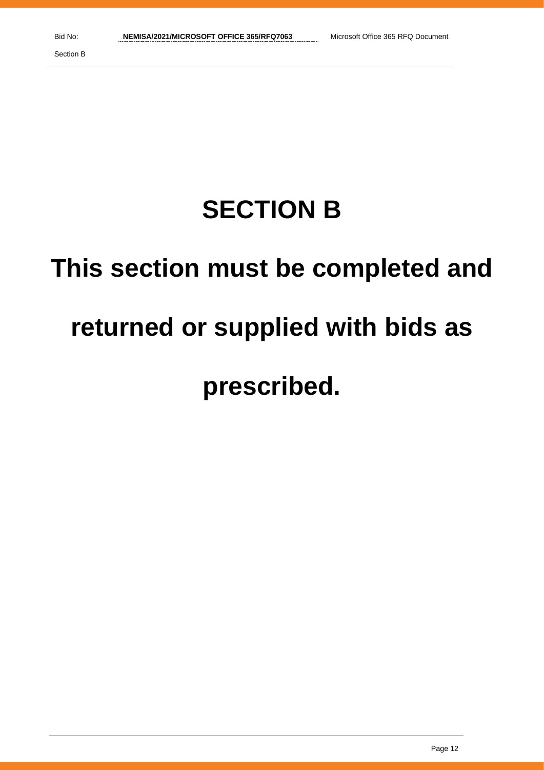# **SECTION B**

# **This section must be completed and**

# **returned or supplied with bids as**

# **prescribed.**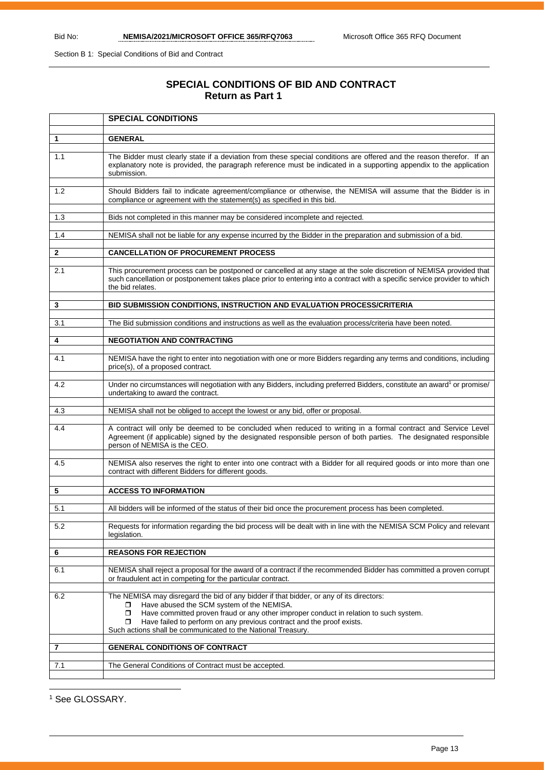Section B 1: Special Conditions of Bid and Contract

# **SPECIAL CONDITIONS OF BID AND CONTRACT Return as Part 1**

|     | <b>SPECIAL CONDITIONS</b>                                                                                                                                                                                                                                                                                                                                                               |
|-----|-----------------------------------------------------------------------------------------------------------------------------------------------------------------------------------------------------------------------------------------------------------------------------------------------------------------------------------------------------------------------------------------|
|     |                                                                                                                                                                                                                                                                                                                                                                                         |
| 1   | <b>GENERAL</b>                                                                                                                                                                                                                                                                                                                                                                          |
| 1.1 | The Bidder must clearly state if a deviation from these special conditions are offered and the reason therefor. If an<br>explanatory note is provided, the paragraph reference must be indicated in a supporting appendix to the application<br>submission.                                                                                                                             |
| 1.2 | Should Bidders fail to indicate agreement/compliance or otherwise, the NEMISA will assume that the Bidder is in<br>compliance or agreement with the statement(s) as specified in this bid.                                                                                                                                                                                              |
| 1.3 | Bids not completed in this manner may be considered incomplete and rejected.                                                                                                                                                                                                                                                                                                            |
| 1.4 | NEMISA shall not be liable for any expense incurred by the Bidder in the preparation and submission of a bid.                                                                                                                                                                                                                                                                           |
| 2   | <b>CANCELLATION OF PROCUREMENT PROCESS</b>                                                                                                                                                                                                                                                                                                                                              |
| 2.1 | This procurement process can be postponed or cancelled at any stage at the sole discretion of NEMISA provided that<br>such cancellation or postponement takes place prior to entering into a contract with a specific service provider to which<br>the bid relates.                                                                                                                     |
| 3   | BID SUBMISSION CONDITIONS, INSTRUCTION AND EVALUATION PROCESS/CRITERIA                                                                                                                                                                                                                                                                                                                  |
| 3.1 | The Bid submission conditions and instructions as well as the evaluation process/criteria have been noted.                                                                                                                                                                                                                                                                              |
| 4   | <b>NEGOTIATION AND CONTRACTING</b>                                                                                                                                                                                                                                                                                                                                                      |
| 4.1 | NEMISA have the right to enter into negotiation with one or more Bidders regarding any terms and conditions, including<br>price(s), of a proposed contract.                                                                                                                                                                                                                             |
| 4.2 | Under no circumstances will negotiation with any Bidders, including preferred Bidders, constitute an award <sup>1</sup> or promise/<br>undertaking to award the contract.                                                                                                                                                                                                               |
| 4.3 | NEMISA shall not be obliged to accept the lowest or any bid, offer or proposal.                                                                                                                                                                                                                                                                                                         |
| 4.4 | A contract will only be deemed to be concluded when reduced to writing in a formal contract and Service Level<br>Agreement (if applicable) signed by the designated responsible person of both parties. The designated responsible<br>person of NEMISA is the CEO.                                                                                                                      |
| 4.5 | NEMISA also reserves the right to enter into one contract with a Bidder for all required goods or into more than one<br>contract with different Bidders for different goods.                                                                                                                                                                                                            |
| 5   | <b>ACCESS TO INFORMATION</b>                                                                                                                                                                                                                                                                                                                                                            |
| 5.1 | All bidders will be informed of the status of their bid once the procurement process has been completed.                                                                                                                                                                                                                                                                                |
| 5.2 | Requests for information regarding the bid process will be dealt with in line with the NEMISA SCM Policy and relevant<br>legislation.                                                                                                                                                                                                                                                   |
| 6   | <b>REASONS FOR REJECTION</b>                                                                                                                                                                                                                                                                                                                                                            |
|     |                                                                                                                                                                                                                                                                                                                                                                                         |
| 6.1 | NEMISA shall reject a proposal for the award of a contract if the recommended Bidder has committed a proven corrupt<br>or fraudulent act in competing for the particular contract.                                                                                                                                                                                                      |
| 6.2 | The NEMISA may disregard the bid of any bidder if that bidder, or any of its directors:<br>Have abused the SCM system of the NEMISA.<br>П.<br>Have committed proven fraud or any other improper conduct in relation to such system.<br>□<br>Have failed to perform on any previous contract and the proof exists.<br>0.<br>Such actions shall be communicated to the National Treasury. |
| 7   | <b>GENERAL CONDITIONS OF CONTRACT</b>                                                                                                                                                                                                                                                                                                                                                   |
| 7.1 | The General Conditions of Contract must be accepted.                                                                                                                                                                                                                                                                                                                                    |
|     |                                                                                                                                                                                                                                                                                                                                                                                         |

<sup>1</sup> See GLOSSARY.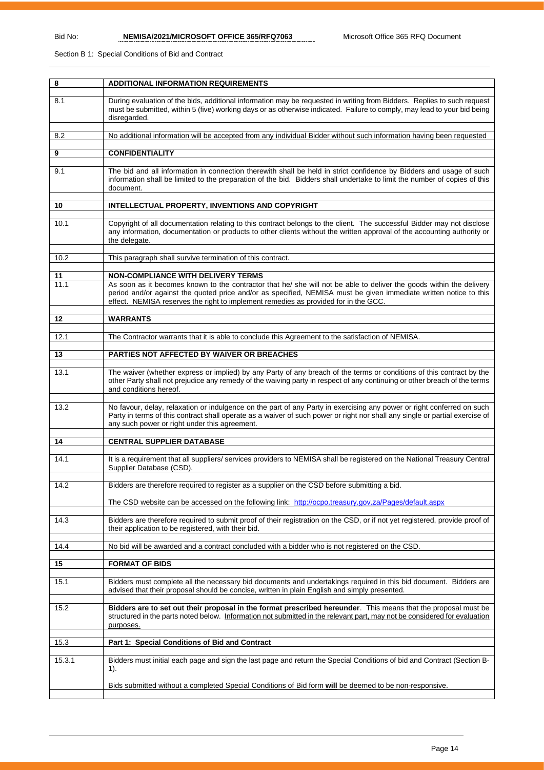Section B 1: Special Conditions of Bid and Contract

| 8      | <b>ADDITIONAL INFORMATION REQUIREMENTS</b>                                                                                                                                                                                                                                                                                       |
|--------|----------------------------------------------------------------------------------------------------------------------------------------------------------------------------------------------------------------------------------------------------------------------------------------------------------------------------------|
| 8.1    | During evaluation of the bids, additional information may be requested in writing from Bidders. Replies to such request<br>must be submitted, within 5 (five) working days or as otherwise indicated. Failure to comply, may lead to your bid being<br>disregarded.                                                              |
| 8.2    | No additional information will be accepted from any individual Bidder without such information having been requested                                                                                                                                                                                                             |
| 9      | <b>CONFIDENTIALITY</b>                                                                                                                                                                                                                                                                                                           |
| 9.1    | The bid and all information in connection therewith shall be held in strict confidence by Bidders and usage of such<br>information shall be limited to the preparation of the bid. Bidders shall undertake to limit the number of copies of this<br>document.                                                                    |
| 10     | INTELLECTUAL PROPERTY, INVENTIONS AND COPYRIGHT                                                                                                                                                                                                                                                                                  |
| 10.1   | Copyright of all documentation relating to this contract belongs to the client. The successful Bidder may not disclose<br>any information, documentation or products to other clients without the written approval of the accounting authority or<br>the delegate.                                                               |
| 10.2   | This paragraph shall survive termination of this contract.                                                                                                                                                                                                                                                                       |
| 11     | NON-COMPLIANCE WITH DELIVERY TERMS                                                                                                                                                                                                                                                                                               |
| 11.1   | As soon as it becomes known to the contractor that he/ she will not be able to deliver the goods within the delivery<br>period and/or against the quoted price and/or as specified, NEMISA must be given immediate written notice to this<br>effect. NEMISA reserves the right to implement remedies as provided for in the GCC. |
| 12     | <b>WARRANTS</b>                                                                                                                                                                                                                                                                                                                  |
| 12.1   | The Contractor warrants that it is able to conclude this Agreement to the satisfaction of NEMISA.                                                                                                                                                                                                                                |
| 13     | PARTIES NOT AFFECTED BY WAIVER OR BREACHES                                                                                                                                                                                                                                                                                       |
| 13.1   | The waiver (whether express or implied) by any Party of any breach of the terms or conditions of this contract by the<br>other Party shall not prejudice any remedy of the waiving party in respect of any continuing or other breach of the terms<br>and conditions hereof.                                                     |
| 13.2   | No favour, delay, relaxation or indulgence on the part of any Party in exercising any power or right conferred on such<br>Party in terms of this contract shall operate as a waiver of such power or right nor shall any single or partial exercise of<br>any such power or right under this agreement.                          |
| 14     | <b>CENTRAL SUPPLIER DATABASE</b>                                                                                                                                                                                                                                                                                                 |
| 14.1   | It is a requirement that all suppliers/ services providers to NEMISA shall be registered on the National Treasury Central<br>Supplier Database (CSD)                                                                                                                                                                             |
| 14.2   | Bidders are therefore required to register as a supplier on the CSD before submitting a bid.                                                                                                                                                                                                                                     |
|        | The CSD website can be accessed on the following link: http://ocpo.treasury.gov.za/Pages/default.aspx                                                                                                                                                                                                                            |
| 14.3   | Bidders are therefore required to submit proof of their registration on the CSD, or if not yet registered, provide proof of<br>their application to be registered, with their bid.                                                                                                                                               |
| 14.4   | No bid will be awarded and a contract concluded with a bidder who is not registered on the CSD.                                                                                                                                                                                                                                  |
| 15     | <b>FORMAT OF BIDS</b>                                                                                                                                                                                                                                                                                                            |
| 15.1   | Bidders must complete all the necessary bid documents and undertakings required in this bid document. Bidders are<br>advised that their proposal should be concise, written in plain English and simply presented.                                                                                                               |
| 15.2   | Bidders are to set out their proposal in the format prescribed hereunder. This means that the proposal must be<br>structured in the parts noted below. Information not submitted in the relevant part, may not be considered for evaluation<br>purposes.                                                                         |
| 15.3   | Part 1: Special Conditions of Bid and Contract                                                                                                                                                                                                                                                                                   |
| 15.3.1 | Bidders must initial each page and sign the last page and return the Special Conditions of bid and Contract (Section B-<br>$1$ ).                                                                                                                                                                                                |
|        | Bids submitted without a completed Special Conditions of Bid form will be deemed to be non-responsive.                                                                                                                                                                                                                           |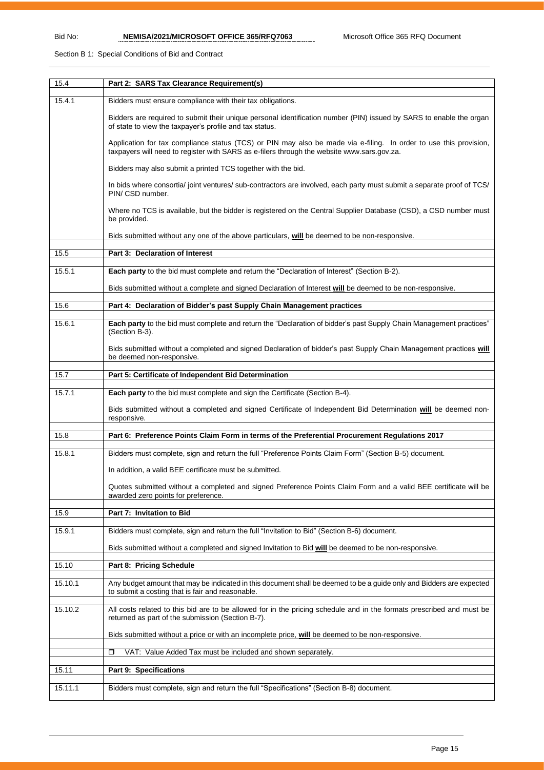### Section B 1: Special Conditions of Bid and Contract

| 15.4    | Part 2: SARS Tax Clearance Requirement(s)                                                                                                                                                                       |
|---------|-----------------------------------------------------------------------------------------------------------------------------------------------------------------------------------------------------------------|
| 15.4.1  | Bidders must ensure compliance with their tax obligations.                                                                                                                                                      |
|         | Bidders are required to submit their unique personal identification number (PIN) issued by SARS to enable the organ<br>of state to view the taxpayer's profile and tax status.                                  |
|         | Application for tax compliance status (TCS) or PIN may also be made via e-filing. In order to use this provision,<br>taxpayers will need to register with SARS as e-filers through the website www.sars.gov.za. |
|         | Bidders may also submit a printed TCS together with the bid.                                                                                                                                                    |
|         | In bids where consortia/ joint ventures/ sub-contractors are involved, each party must submit a separate proof of TCS/<br>PIN/ CSD number.                                                                      |
|         | Where no TCS is available, but the bidder is registered on the Central Supplier Database (CSD), a CSD number must<br>be provided.                                                                               |
|         | Bids submitted without any one of the above particulars, will be deemed to be non-responsive.                                                                                                                   |
| 15.5    | Part 3: Declaration of Interest                                                                                                                                                                                 |
| 15.5.1  | Each party to the bid must complete and return the "Declaration of Interest" (Section B-2).                                                                                                                     |
|         | Bids submitted without a complete and signed Declaration of Interest will be deemed to be non-responsive.                                                                                                       |
| 15.6    | Part 4: Declaration of Bidder's past Supply Chain Management practices                                                                                                                                          |
|         |                                                                                                                                                                                                                 |
| 15.6.1  | Each party to the bid must complete and return the "Declaration of bidder's past Supply Chain Management practices"<br>(Section B-3).                                                                           |
|         | Bids submitted without a completed and signed Declaration of bidder's past Supply Chain Management practices will<br>be deemed non-responsive.                                                                  |
| 15.7    | Part 5: Certificate of Independent Bid Determination                                                                                                                                                            |
| 15.7.1  | Each party to the bid must complete and sign the Certificate (Section B-4).                                                                                                                                     |
|         | Bids submitted without a completed and signed Certificate of Independent Bid Determination will be deemed non-<br>responsive.                                                                                   |
| 15.8    | Part 6: Preference Points Claim Form in terms of the Preferential Procurement Regulations 2017                                                                                                                  |
| 15.8.1  | Bidders must complete, sign and return the full "Preference Points Claim Form" (Section B-5) document.                                                                                                          |
|         | In addition, a valid BEE certificate must be submitted.                                                                                                                                                         |
|         | Quotes submitted without a completed and signed Preference Points Claim Form and a valid BEE certificate will be                                                                                                |
|         | awarded zero points for preference.                                                                                                                                                                             |
| 15.9    | Part 7: Invitation to Bid                                                                                                                                                                                       |
| 15.9.1  | Bidders must complete, sign and return the full "Invitation to Bid" (Section B-6) document.                                                                                                                     |
|         | Bids submitted without a completed and signed Invitation to Bid will be deemed to be non-responsive.                                                                                                            |
| 15.10   | Part 8: Pricing Schedule                                                                                                                                                                                        |
| 15.10.1 | Any budget amount that may be indicated in this document shall be deemed to be a guide only and Bidders are expected                                                                                            |
|         | to submit a costing that is fair and reasonable.                                                                                                                                                                |
| 15.10.2 | All costs related to this bid are to be allowed for in the pricing schedule and in the formats prescribed and must be<br>returned as part of the submission (Section B-7).                                      |
|         | Bids submitted without a price or with an incomplete price, will be deemed to be non-responsive.                                                                                                                |
|         | VAT: Value Added Tax must be included and shown separately.<br>◘                                                                                                                                                |
| 15.11   | Part 9: Specifications                                                                                                                                                                                          |
| 15.11.1 | Bidders must complete, sign and return the full "Specifications" (Section B-8) document.                                                                                                                        |
|         |                                                                                                                                                                                                                 |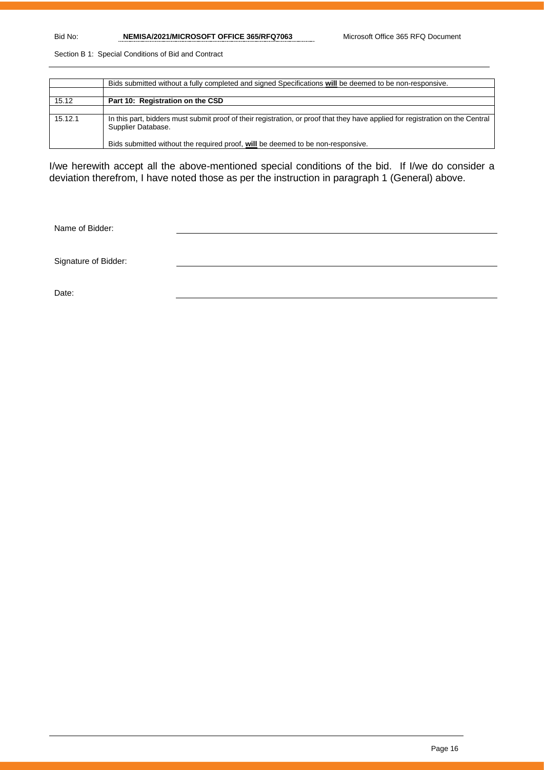Bid No: **NEMISA/2021/MICROSOFT OFFICE 365/RFQ7063** Microsoft Office 365 RFQ Document

Section B 1: Special Conditions of Bid and Contract

|         | Bids submitted without a fully completed and signed Specifications will be deemed to be non-responsive.                                              |
|---------|------------------------------------------------------------------------------------------------------------------------------------------------------|
|         |                                                                                                                                                      |
| 15.12   | Part 10: Registration on the CSD                                                                                                                     |
|         |                                                                                                                                                      |
| 15.12.1 | In this part, bidders must submit proof of their registration, or proof that they have applied for registration on the Central<br>Supplier Database. |
|         | Bids submitted without the required proof, will be deemed to be non-responsive.                                                                      |

I/we herewith accept all the above-mentioned special conditions of the bid. If I/we do consider a deviation therefrom, I have noted those as per the instruction in paragraph 1 (General) above.

Name of Bidder:

Signature of Bidder:

Date: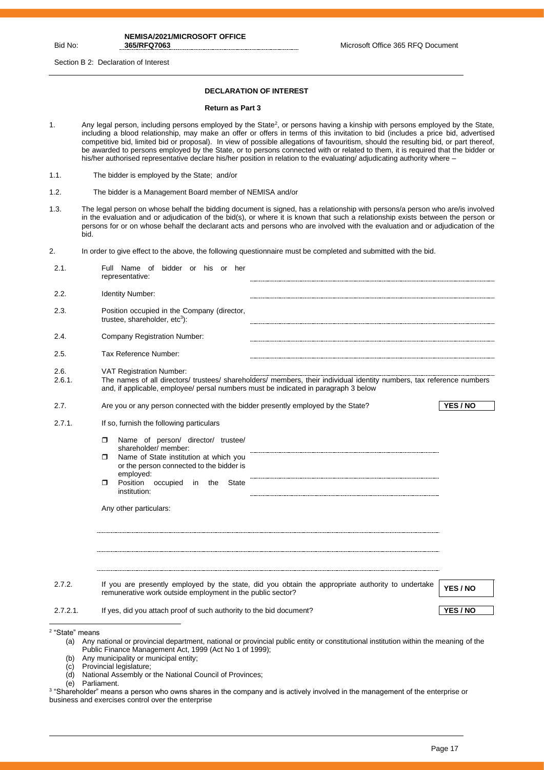**NEMISA/2021/MICROSOFT OFFICE** 

**365/RFQ7063** Microsoft Office 365 RFQ Document

Section B 2: Declaration of Interest

#### **DECLARATION OF INTEREST**

#### **Return as Part 3**

- 1. Any legal person, including persons employed by the State<sup>2</sup>, or persons having a kinship with persons employed by the State, including a blood relationship, may make an offer or offers in terms of this invitation to bid (includes a price bid, advertised competitive bid, limited bid or proposal). In view of possible allegations of favouritism, should the resulting bid, or part thereof, be awarded to persons employed by the State, or to persons connected with or related to them, it is required that the bidder or his/her authorised representative declare his/her position in relation to the evaluating/ adjudicating authority where –
- 1.1. The bidder is employed by the State; and/or
- 1.2. The bidder is a Management Board member of NEMISA and/or
- 1.3. The legal person on whose behalf the bidding document is signed, has a relationship with persons/a person who are/is involved in the evaluation and or adjudication of the bid(s), or where it is known that such a relationship exists between the person or persons for or on whose behalf the declarant acts and persons who are involved with the evaluation and or adjudication of the bid.
- 2. In order to give effect to the above, the following questionnaire must be completed and submitted with the bid.

| 2.1.                       | Full Name of bidder or his or her<br>representative:                                                                                                                                                                                                              |          |
|----------------------------|-------------------------------------------------------------------------------------------------------------------------------------------------------------------------------------------------------------------------------------------------------------------|----------|
| 2.2.                       | Identity Number:                                                                                                                                                                                                                                                  |          |
| 2.3.                       | Position occupied in the Company (director,<br>trustee, shareholder, $etc3$ :                                                                                                                                                                                     |          |
| 2.4.                       | Company Registration Number:                                                                                                                                                                                                                                      |          |
| 2.5.                       | Tax Reference Number:                                                                                                                                                                                                                                             |          |
| 2.6.<br>2.6.1.             | <b>VAT Registration Number:</b><br>The names of all directors/ trustees/ shareholders/ members, their individual identity numbers, tax reference numbers<br>and, if applicable, employee/ persal numbers must be indicated in paragraph 3 below                   |          |
| 2.7.                       | Are you or any person connected with the bidder presently employed by the State?                                                                                                                                                                                  | YES / NO |
| 2.7.1.                     | If so, furnish the following particulars                                                                                                                                                                                                                          |          |
|                            | Name of person/ director/ trustee/<br>п<br>shareholder/ member:<br>Name of State institution at which you<br>Π<br>or the person connected to the bidder is<br>employed:<br>Position occupied<br>in<br>the<br>State<br>σ<br>institution:<br>Any other particulars: |          |
| 2.7.2.                     | If you are presently employed by the state, did you obtain the appropriate authority to undertake<br>remunerative work outside employment in the public sector?                                                                                                   | YES / NO |
| $2.7.2.1$ .                | If yes, did you attach proof of such authority to the bid document?                                                                                                                                                                                               | YES / NO |
| <sup>2</sup> "State" means |                                                                                                                                                                                                                                                                   |          |

- (a) Any national or provincial department, national or provincial public entity or constitutional institution within the meaning of the Public Finance Management Act, 1999 (Act No 1 of 1999);
- (b) Any municipality or municipal entity;
- 
- (c) Provincial legislature; National Assembly or the National Council of Provinces;
- (e) Parliament.

<sup>3</sup> "Shareholder" means a person who owns shares in the company and is actively involved in the management of the enterprise or business and exercises control over the enterprise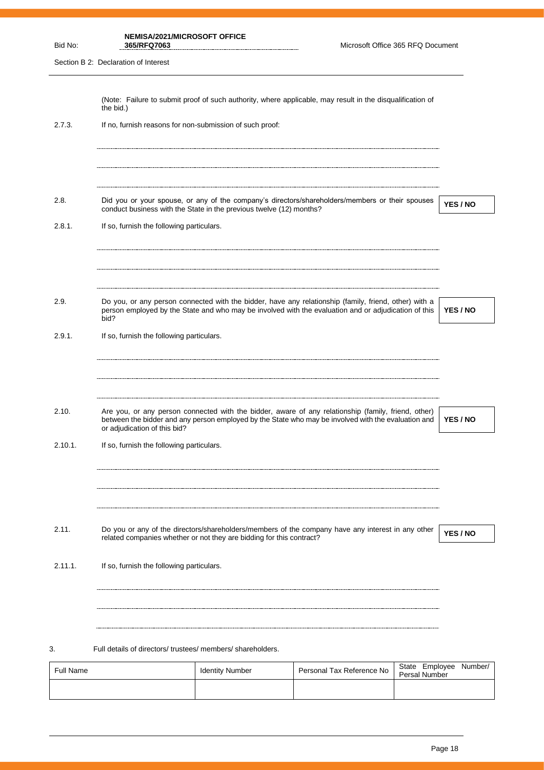|         | NEMISA/2021/MICROSOFT OFFICE |
|---------|------------------------------|
| Bid No: | 365/RFQ7063                  |
|         |                              |

**365/RFQ7063** Microsoft Office 365 RFQ Document

Section B 2: Declaration of Interest

|                  | the bid.)                                                            |                        | (Note: Failure to submit proof of such authority, where applicable, may result in the disqualification of                                                                                                     |                                 |          |
|------------------|----------------------------------------------------------------------|------------------------|---------------------------------------------------------------------------------------------------------------------------------------------------------------------------------------------------------------|---------------------------------|----------|
| 2.7.3.           | If no, furnish reasons for non-submission of such proof:             |                        |                                                                                                                                                                                                               |                                 |          |
|                  |                                                                      |                        |                                                                                                                                                                                                               |                                 |          |
|                  |                                                                      |                        |                                                                                                                                                                                                               |                                 |          |
| 2.8.             | conduct business with the State in the previous twelve (12) months?  |                        | Did you or your spouse, or any of the company's directors/shareholders/members or their spouses                                                                                                               |                                 | YES / NO |
| 2.8.1.           | If so, furnish the following particulars.                            |                        |                                                                                                                                                                                                               |                                 |          |
|                  |                                                                      |                        |                                                                                                                                                                                                               |                                 |          |
| 2.9.             |                                                                      |                        | Do you, or any person connected with the bidder, have any relationship (family, friend, other) with a<br>person employed by the State and who may be involved with the evaluation and or adjudication of this |                                 | YES / NO |
| 2.9.1.           | bid?<br>If so, furnish the following particulars.                    |                        |                                                                                                                                                                                                               |                                 |          |
|                  |                                                                      |                        |                                                                                                                                                                                                               |                                 |          |
|                  |                                                                      |                        |                                                                                                                                                                                                               |                                 |          |
| 2.10.            | or adjudication of this bid?                                         |                        | Are you, or any person connected with the bidder, aware of any relationship (family, friend, other)<br>between the bidder and any person employed by the State who may be involved with the evaluation and    |                                 | YES / NO |
| 2.10.1.          | If so, furnish the following particulars.                            |                        |                                                                                                                                                                                                               |                                 |          |
|                  |                                                                      |                        |                                                                                                                                                                                                               |                                 |          |
|                  |                                                                      |                        |                                                                                                                                                                                                               |                                 |          |
| 2.11.            | related companies whether or not they are bidding for this contract? |                        | Do you or any of the directors/shareholders/members of the company have any interest in any other                                                                                                             |                                 | YES / NO |
| 2.11.1.          | If so, furnish the following particulars.                            |                        |                                                                                                                                                                                                               |                                 |          |
|                  |                                                                      |                        |                                                                                                                                                                                                               |                                 |          |
|                  |                                                                      |                        |                                                                                                                                                                                                               |                                 |          |
| 3.               | Full details of directors/trustees/members/shareholders.             |                        |                                                                                                                                                                                                               |                                 |          |
| <b>Full Name</b> |                                                                      | <b>Identity Number</b> | Personal Tax Reference No                                                                                                                                                                                     | State Employee<br>Persal Number | Number/  |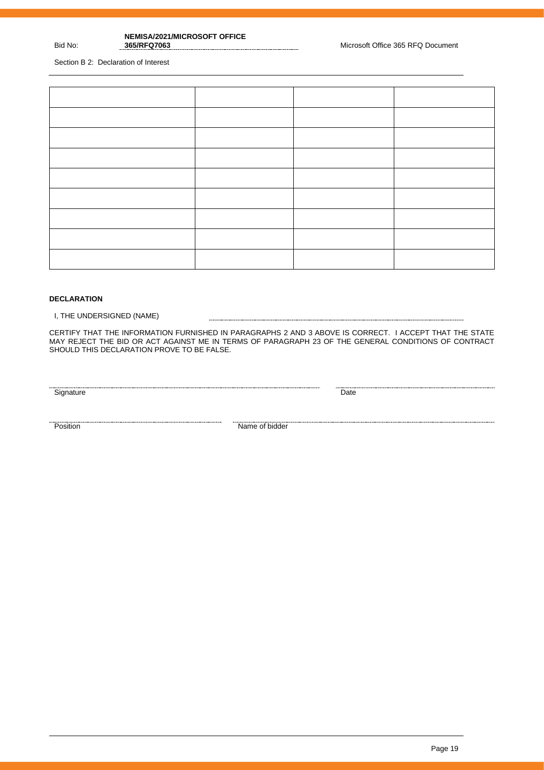# **NEMISA/2021/MICROSOFT OFFICE**

**365 RFQ Document** Microsoft Office 365 RFQ Document

Section B 2: Declaration of Interest

Bid No:

#### **DECLARATION**

I, THE UNDERSIGNED (NAME)

CERTIFY THAT THE INFORMATION FURNISHED IN PARAGRAPHS 2 AND 3 ABOVE IS CORRECT. I ACCEPT THAT THE STATE MAY REJECT THE BID OR ACT AGAINST ME IN TERMS OF PARAGRAPH 23 OF THE GENERAL CONDITIONS OF CONTRACT SHOULD THIS DECLARATION PROVE TO BE FALSE.

<u>Signature Date</u>

<u>Position</u><br>Position **Name of bidder**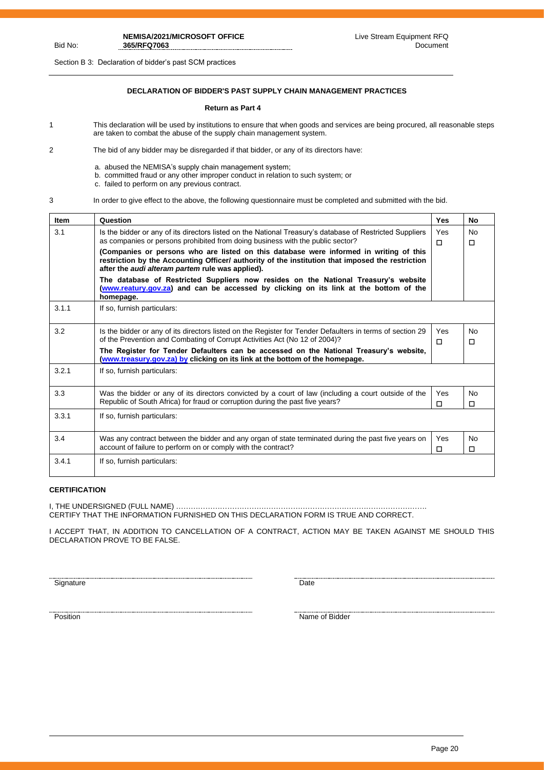Section B 3: Declaration of bidder's past SCM practices

## **DECLARATION OF BIDDER'S PAST SUPPLY CHAIN MANAGEMENT PRACTICES**

#### **Return as Part 4**

- 1 This declaration will be used by institutions to ensure that when goods and services are being procured, all reasonable steps are taken to combat the abuse of the supply chain management system.
- 2 The bid of any bidder may be disregarded if that bidder, or any of its directors have:
	- a. abused the NEMISA's supply chain management system;
	- b. committed fraud or any other improper conduct in relation to such system; or
	- c. failed to perform on any previous contract.
- 

Bid No:

3 In order to give effect to the above, the following questionnaire must be completed and submitted with the bid.

| <b>Item</b> | Question                                                                                                                                                                                                                                              | Yes           | No                  |
|-------------|-------------------------------------------------------------------------------------------------------------------------------------------------------------------------------------------------------------------------------------------------------|---------------|---------------------|
| 3.1         | Is the bidder or any of its directors listed on the National Treasury's database of Restricted Suppliers<br>as companies or persons prohibited from doing business with the public sector?                                                            | Yes<br>$\Box$ | <b>No</b><br>$\Box$ |
|             | (Companies or persons who are listed on this database were informed in writing of this<br>restriction by the Accounting Officer/ authority of the institution that imposed the restriction<br>after the <i>audi alteram partem</i> rule was applied). |               |                     |
|             | The database of Restricted Suppliers now resides on the National Treasury's website<br>(www.reatury.gov.za) and can be accessed by clicking on its link at the bottom of the<br>homepage.                                                             |               |                     |
| 3.1.1       | If so, furnish particulars:                                                                                                                                                                                                                           |               |                     |
| 3.2         | Is the bidder or any of its directors listed on the Register for Tender Defaulters in terms of section 29<br>of the Prevention and Combating of Corrupt Activities Act (No 12 of 2004)?                                                               | Yes<br>п      | <b>No</b><br>п      |
|             | The Register for Tender Defaulters can be accessed on the National Treasury's website,<br>(www.treasury.gov.za) by clicking on its link at the bottom of the homepage.                                                                                |               |                     |
| 3.2.1       | If so, furnish particulars:                                                                                                                                                                                                                           |               |                     |
| 3.3         | Was the bidder or any of its directors convicted by a court of law (including a court outside of the<br>Republic of South Africa) for fraud or corruption during the past five years?                                                                 | Yes<br>п      | No<br>$\Box$        |
| 3.3.1       | If so, furnish particulars:                                                                                                                                                                                                                           |               |                     |
| 3.4         | Was any contract between the bidder and any organ of state terminated during the past five years on<br>account of failure to perform on or comply with the contract?                                                                                  | Yes<br>п      | No<br>$\Box$        |
| 3.4.1       | If so, furnish particulars:                                                                                                                                                                                                                           |               |                     |

### **CERTIFICATION**

I, THE UNDERSIGNED (FULL NAME) …………………………………………………………………………………………. CERTIFY THAT THE INFORMATION FURNISHED ON THIS DECLARATION FORM IS TRUE AND CORRECT.

I ACCEPT THAT, IN ADDITION TO CANCELLATION OF A CONTRACT, ACTION MAY BE TAKEN AGAINST ME SHOULD THIS DECLARATION PROVE TO BE FALSE.

Signature Date

names and the state of Bidder and Science of Bidder Position and Science of Bidder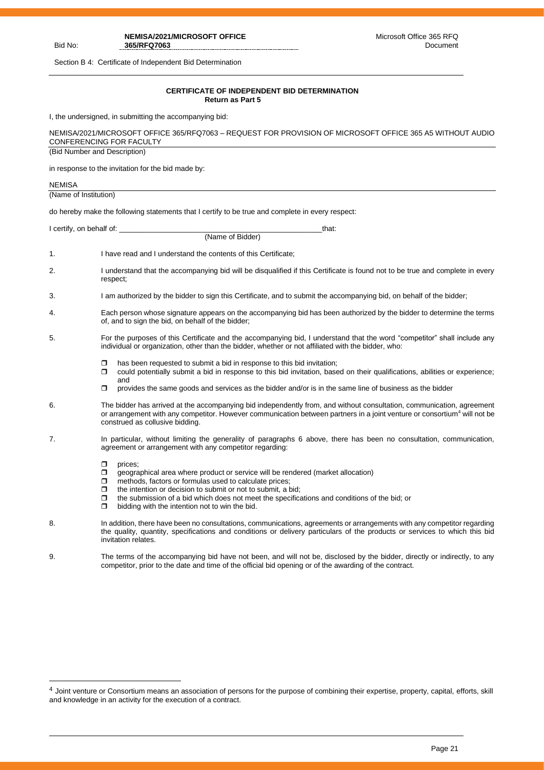#### Bid No:

**NEMISA/2021/MICROSOFT OFFICE 365/RFQ7063**

Section B 4: Certificate of Independent Bid Determination

#### **CERTIFICATE OF INDEPENDENT BID DETERMINATION Return as Part 5**

I, the undersigned, in submitting the accompanying bid:

| NEMISA/2021/MICROSOFT OFFICE 365/RFQ7063 – REQUEST FOR PROVISION OF MICROSOFT OFFICE 365 A5 WITHOUT AUDIO |  |
|-----------------------------------------------------------------------------------------------------------|--|
| CONFERENCING FOR FACULTY                                                                                  |  |
| (Bid Number and Description)                                                                              |  |

in response to the invitation for the bid made by:

| <b>NEMISA</b>         |                                                                                                                                                                                                                                                                                                                                                                                                                |
|-----------------------|----------------------------------------------------------------------------------------------------------------------------------------------------------------------------------------------------------------------------------------------------------------------------------------------------------------------------------------------------------------------------------------------------------------|
| (Name of Institution) |                                                                                                                                                                                                                                                                                                                                                                                                                |
|                       | do hereby make the following statements that I certify to be true and complete in every respect:                                                                                                                                                                                                                                                                                                               |
|                       | I certify, on behalf of: __________<br>that:                                                                                                                                                                                                                                                                                                                                                                   |
|                       | (Name of Bidder)                                                                                                                                                                                                                                                                                                                                                                                               |
| 1.                    | I have read and I understand the contents of this Certificate;                                                                                                                                                                                                                                                                                                                                                 |
| 2.                    | I understand that the accompanying bid will be disqualified if this Certificate is found not to be true and complete in every<br>respect;                                                                                                                                                                                                                                                                      |
| 3.                    | I am authorized by the bidder to sign this Certificate, and to submit the accompanying bid, on behalf of the bidder;                                                                                                                                                                                                                                                                                           |
| 4.                    | Each person whose signature appears on the accompanying bid has been authorized by the bidder to determine the terms<br>of, and to sign the bid, on behalf of the bidder;                                                                                                                                                                                                                                      |
| 5.                    | For the purposes of this Certificate and the accompanying bid, I understand that the word "competitor" shall include any<br>individual or organization, other than the bidder, whether or not affiliated with the bidder, who:                                                                                                                                                                                 |
|                       | has been requested to submit a bid in response to this bid invitation;<br>◘<br>$\Box$<br>could potentially submit a bid in response to this bid invitation, based on their qualifications, abilities or experience;<br>and                                                                                                                                                                                     |
|                       | provides the same goods and services as the bidder and/or is in the same line of business as the bidder<br>$\Box$                                                                                                                                                                                                                                                                                              |
| 6.                    | The bidder has arrived at the accompanying bid independently from, and without consultation, communication, agreement<br>or arrangement with any competitor. However communication between partners in a joint venture or consortium <sup>4</sup> will not be<br>construed as collusive bidding.                                                                                                               |
| 7.                    | In particular, without limiting the generality of paragraphs 6 above, there has been no consultation, communication,<br>agreement or arrangement with any competitor regarding:                                                                                                                                                                                                                                |
|                       | σ<br>prices;<br>$\Box$<br>geographical area where product or service will be rendered (market allocation)<br>methods, factors or formulas used to calculate prices;<br>ο<br>the intention or decision to submit or not to submit, a bid;<br>σ<br>the submission of a bid which does not meet the specifications and conditions of the bid; or<br>$\Box$<br>ο<br>bidding with the intention not to win the bid. |
| 8.                    | In addition, there have been no consultations, communications, agreements or arrangements with any competitor regarding<br>the quality, quantity, specifications and conditions or delivery particulars of the products or services to which this bid<br>invitation relates.                                                                                                                                   |
| 9.                    | The terms of the accompanying bid have not been, and will not be, disclosed by the bidder, directly or indirectly, to any<br>competitor, prior to the date and time of the official bid opening or of the awarding of the contract.                                                                                                                                                                            |

<sup>&</sup>lt;sup>4</sup> Joint venture or Consortium means an association of persons for the purpose of combining their expertise, property, capital, efforts, skill and knowledge in an activity for the execution of a contract.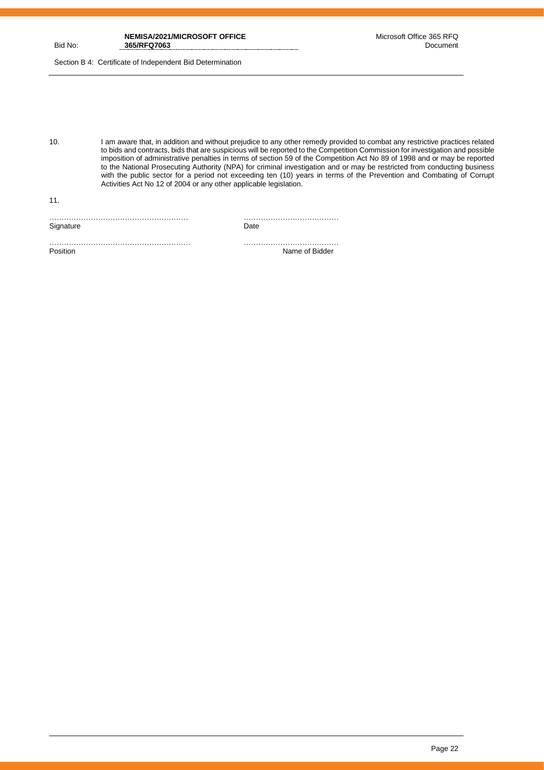Section B 4: Certificate of Independent Bid Determination

10. I am aware that, in addition and without prejudice to any other remedy provided to combat any restrictive practices related to bids and contracts, bids that are suspicious will be reported to the Competition Commission for investigation and possible imposition of administrative penalties in terms of section 59 of the Competition Act No 89 of 1998 and or may be reported to the National Prosecuting Authority (NPA) for criminal investigation and or may be restricted from conducting business with the public sector for a period not exceeding ten (10) years in terms of the Prevention and Combating of Corrupt Activities Act No 12 of 2004 or any other applicable legislation.

| ,,,,, |
|-------|

11.

…………………………………………………. ………………………………… Position Name of Bidder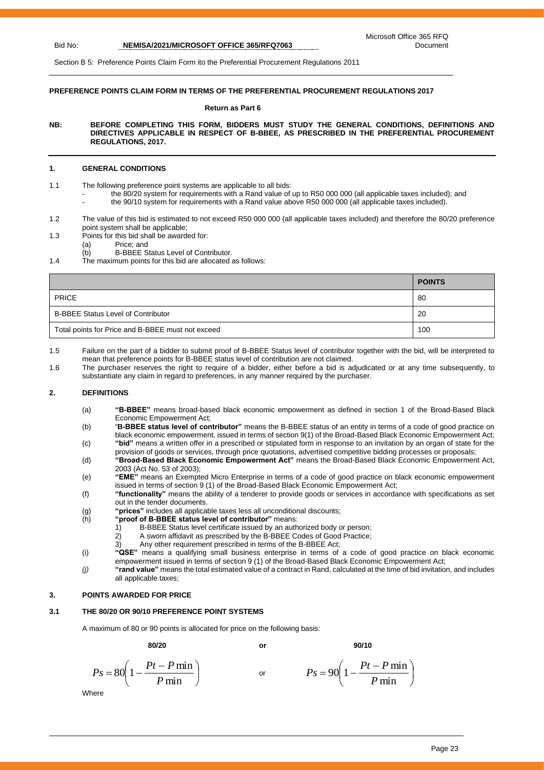Section B 5: Preference Points Claim Form ito the Preferential Procurement Regulations 2011

#### **PREFERENCE POINTS CLAIM FORM IN TERMS OF THE PREFERENTIAL PROCUREMENT REGULATIONS 2017**

#### **Return as Part 6**

**NB: BEFORE COMPLETING THIS FORM, BIDDERS MUST STUDY THE GENERAL CONDITIONS, DEFINITIONS AND DIRECTIVES APPLICABLE IN RESPECT OF B-BBEE, AS PRESCRIBED IN THE PREFERENTIAL PROCUREMENT REGULATIONS, 2017.** 

#### **1. GENERAL CONDITIONS**

- 1.1 The following preference point systems are applicable to all bids:
	- the 80/20 system for requirements with a Rand value of up to R50 000 000 (all applicable taxes included); and
	- the 90/10 system for requirements with a Rand value above R50 000 000 (all applicable taxes included).
- 1.2 The value of this bid is estimated to not exceed R50 000 000 (all applicable taxes included) and therefore the 80/20 preference point system shall be applicable;
- 1.3 Points for this bid shall be awarded for:
	- (a) Price; and
	- (b) B-BBEE Status Level of Contributor.
- 1.4 The maximum points for this bid are allocated as follows:

|                                                   | <b>POINTS</b> |
|---------------------------------------------------|---------------|
| <b>PRICE</b>                                      | 80            |
| <b>B-BBEE Status Level of Contributor</b>         | 20            |
| Total points for Price and B-BBEE must not exceed | 100           |

1.5 Failure on the part of a bidder to submit proof of B-BBEE Status level of contributor together with the bid, will be interpreted to mean that preference points for B-BBEE status level of contribution are not claimed.

1.6 The purchaser reserves the right to require of a bidder, either before a bid is adjudicated or at any time subsequently, to substantiate any claim in regard to preferences, in any manner required by the purchaser.

#### **2. DEFINITIONS**

- (a) **"B-BBEE"** means broad-based black economic empowerment as defined in section 1 of the Broad-Based Black Economic Empowerment Act;
- (b) "**B-BBEE status level of contributor"** means the B-BBEE status of an entity in terms of a code of good practice on black economic empowerment, issued in terms of section 9(1) of the Broad-Based Black Economic Empowerment Act; (c) **"bid"** means a written offer in a prescribed or stipulated form in response to an invitation by an organ of state for the
- provision of goods or services, through price quotations, advertised competitive bidding processes or proposals; (d) **"Broad-Based Black Economic Empowerment Act"** means the Broad-Based Black Economic Empowerment Act,
- 2003 (Act No. 53 of 2003); (e) **"EME"** means an Exempted Micro Enterprise in terms of a code of good practice on black economic empowerment
- issued in terms of section 9 (1) of the Broad-Based Black Economic Empowerment Act; (f) **"functionality"** means the ability of a tenderer to provide goods or services in accordance with specifications as set out in the tender documents.
- (g) **"prices"** includes all applicable taxes less all unconditional discounts;
- 
- (h) **"proof of B-BBEE status level of contributor"** means:<br>1) B-BBEE Status level certificate issued by an auth B-BBEE Status level certificate issued by an authorized body or person;
	-
	- 2) A sworn affidavit as prescribed by the B-BBEE Codes of Good Practice;<br>3) Any other requirement prescribed in terms of the B-BBEE Act: Any other requirement prescribed in terms of the B-BBEE Act;
	-
- (i) **"QSE"** means a qualifying small business enterprise in terms of a code of good practice on black economic empowerment issued in terms of section 9 (1) of the Broad-Based Black Economic Empowerment Act;
- *(j)* **"rand value"** means the total estimated value of a contract in Rand, calculated at the time of bid invitation, and includes all applicable taxes;

#### **3. POINTS AWARDED FOR PRICE**

#### **3.1 THE 80/20 OR 90/10 PREFERENCE POINT SYSTEMS**

A maximum of 80 or 90 points is allocated for price on the following basis:

**80/20 or 90/10**

$$
Ps = 80\left(1 - \frac{Pt - P \min}{P \min}\right) \qquad \text{or} \qquad \qquad Ps = 90\left(1 - \frac{Pt - P \min}{P \min}\right)
$$

**Where** 

 $\big)$ 

 $\left(1-\frac{Pt-P\min}{P}\right)$ 

 $90\left(1-\frac{Pt-P\min}{\sum_{i=1}^{n}H_i}\right)$ *P*

min

 $\setminus$  $= 90 \left( 1 - \frac{Pt - }{F} \right)$ 

 $P_s = 90 \left( 1 - \frac{Pt - P}{r} \right)$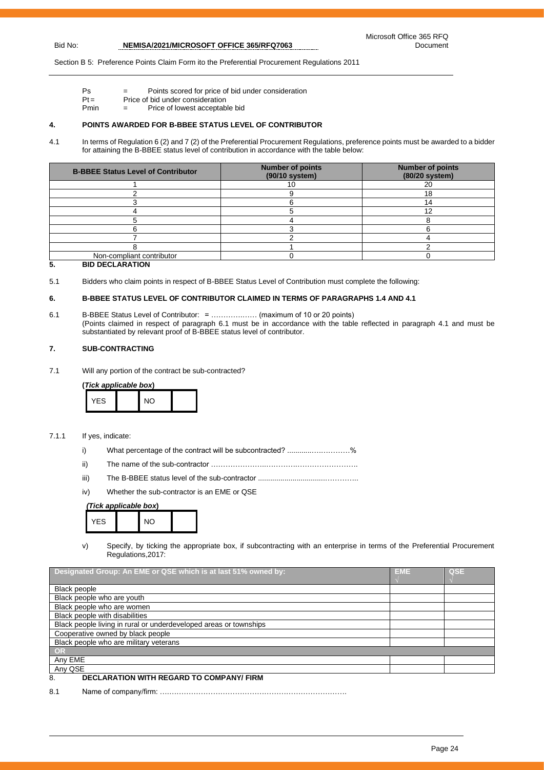Section B 5: Preference Points Claim Form ito the Preferential Procurement Regulations 2011

- Ps = Points scored for price of bid under consideration
- $Pt =$  Price of bid under consideration<br>Pmin  $=$  Price of lowest acceptable  $=$  Price of lowest acceptable bid

#### **4. POINTS AWARDED FOR B-BBEE STATUS LEVEL OF CONTRIBUTOR**

4.1 In terms of Regulation 6 (2) and 7 (2) of the Preferential Procurement Regulations, preference points must be awarded to a bidder for attaining the B-BBEE status level of contribution in accordance with the table below:

| <b>B-BBEE Status Level of Contributor</b> | <b>Number of points</b><br>(90/10 system) | <b>Number of points</b><br>(80/20 system) |
|-------------------------------------------|-------------------------------------------|-------------------------------------------|
|                                           |                                           | 20                                        |
|                                           |                                           | 18                                        |
|                                           |                                           |                                           |
|                                           |                                           |                                           |
|                                           |                                           |                                           |
|                                           |                                           |                                           |
|                                           |                                           |                                           |
|                                           |                                           |                                           |
| Non-compliant contributor                 |                                           |                                           |

#### **5. BID DECLARATION**

5.1 Bidders who claim points in respect of B-BBEE Status Level of Contribution must complete the following:

#### **6. B-BBEE STATUS LEVEL OF CONTRIBUTOR CLAIMED IN TERMS OF PARAGRAPHS 1.4 AND 4.1**

6.1 B-BBEE Status Level of Contributor: = ………….…… (maximum of 10 or 20 points) (Points claimed in respect of paragraph 6.1 must be in accordance with the table reflected in paragraph 4.1 and must be substantiated by relevant proof of B-BBEE status level of contributor.

#### **7. SUB-CONTRACTING**

7.1 Will any portion of the contract be sub-contracted?

**(***Tick applicable box***)**

| <b>YFS</b> | $\overline{M}$ |  |
|------------|----------------|--|
|------------|----------------|--|

#### 7.1.1 If yes, indicate:

- i) What percentage of the contract will be subcontracted? .........................%
- ii) The name of the sub-contractor …………………..………….…………………….
- iii) The B-BBEE status level of the sub-contractor .................................…………..
- iv) Whether the sub-contractor is an EME or QSE

#### *(Tick applicable box***)**



v) Specify, by ticking the appropriate box, if subcontracting with an enterprise in terms of the Preferential Procurement Regulations,2017:

| Designated Group: An EME or QSE which is at last 51% owned by:    | <b>EME</b> | QSE |
|-------------------------------------------------------------------|------------|-----|
|                                                                   |            |     |
| <b>Black people</b>                                               |            |     |
| Black people who are youth                                        |            |     |
| Black people who are women                                        |            |     |
| Black people with disabilities                                    |            |     |
| Black people living in rural or underdeveloped areas or townships |            |     |
| Cooperative owned by black people                                 |            |     |
| Black people who are military veterans                            |            |     |
| OR                                                                |            |     |
| Any EME                                                           |            |     |
| Any QSE                                                           |            |     |
| <b>DECLARATION WITH REGARD TO COMPANY/ FIRM</b><br>8.             |            |     |

8.1 Name of company/firm: ….……………………………………………………………….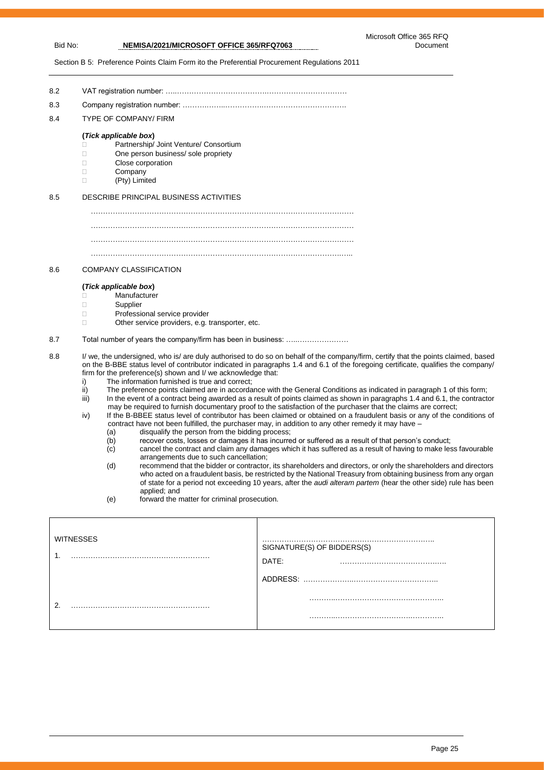Section B 5: Preference Points Claim Form ito the Preferential Procurement Regulations 2011

8.2 VAT registration number: …..……………………………….…………………………… 8.3 Company registration number: ……….……..…………….……………………………. 8.4 TYPE OF COMPANY/ FIRM **(***Tick applicable box***)** □ Partnership/ Joint Venture/ Consortium □ One person business/ sole propriety Close corporation D Company (Pty) Limited 8.5 DESCRIBE PRINCIPAL BUSINESS ACTIVITIES ……………………………………………………………………………………………… ……………………………………………………………………………………………… ………………………………………………………………………………………….….. 8.6 COMPANY CLASSIFICATION **(***Tick applicable box***)** C∴nden<br>
Manufacturer<br>
Supplier Supplier Professional service provider □ Other service providers, e.g. transporter, etc. 8.7 Total number of years the company/firm has been in business: …..………………… 8.8 I/ we, the undersigned, who is/ are duly authorised to do so on behalf of the company/firm, certify that the points claimed, based on the B-BBE status level of contributor indicated in paragraphs 1.4 and 6.1 of the foregoing certificate, qualifies the company/ firm for the preference(s) shown and I/ we acknowledge that: i) The information furnished is true and correct; ii) The preference points claimed are in accordance with the General Conditions as indicated in paragraph 1 of this form;<br>iii) In the event of a contract being awarded as a result of points claimed as shown in paragraphs

- In the event of a contract being awarded as a result of points claimed as shown in paragraphs 1.4 and 6.1, the contractor may be required to furnish documentary proof to the satisfaction of the purchaser that the claims are correct;
- iv) If the B-BBEE status level of contributor has been claimed or obtained on a fraudulent basis or any of the conditions of contract have not been fulfilled, the purchaser may, in addition to any other remedy it may have –
	- (a) disqualify the person from the bidding process;<br>(b) recover costs, losses or damages it has incurre
	- $\begin{array}{lll} \hbox{(b)} & \text{recover costs, losses or damages it has incurred or suffered as a result of that person's conduct; \\ \hbox{(c)} & \text{cancel the contract and claim any damages which it has suffered as a result of having to make les.} \end{array}$
	- cancel the contract and claim any damages which it has suffered as a result of having to make less favourable arrangements due to such cancellation;
	- (d) recommend that the bidder or contractor, its shareholders and directors, or only the shareholders and directors who acted on a fraudulent basis, be restricted by the National Treasury from obtaining business from any organ of state for a period not exceeding 10 years, after the *audi alteram partem* (hear the other side) rule has been applied; and
	- (e) forward the matter for criminal prosecution.

| <b>WITNESSES</b><br>. | .<br>SIGNATURE(S) OF BIDDERS(S)<br>DATE:<br>ADDRESS: |
|-----------------------|------------------------------------------------------|
| ◠<br>.                |                                                      |
|                       |                                                      |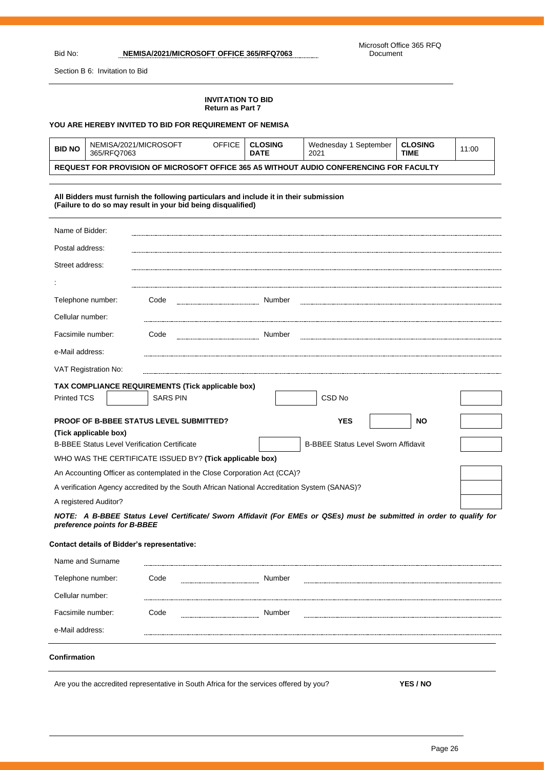$\overline{a}$ 

Section B 6: Invitation to Bid

#### **INVITATION TO BID Return as Part 7**

#### **YOU ARE HEREBY INVITED TO BID FOR REQUIREMENT OF NEMISA**

| <b>BID NO</b>                                                                           | NEMISA/2021/MICROSOFT<br>365/RFQ7063 | OFFICE | <b>CLOSING</b><br><b>DATE</b> | Wednesday 1 September<br>2021 | <b>CLOSING</b><br><b>TIME</b> | 11:00 |
|-----------------------------------------------------------------------------------------|--------------------------------------|--------|-------------------------------|-------------------------------|-------------------------------|-------|
| REQUEST FOR PROVISION OF MICROSOFT OFFICE 365 A5 WITHOUT AUDIO CONFERENCING FOR FACULTY |                                      |        |                               |                               |                               |       |

#### **All Bidders must furnish the following particulars and include it in their submission (Failure to do so may result in your bid being disqualified)**

| Name of Bidder:                                                                                                                                                                                                                                                                                                                                                                                                                                                                                                                                                                                                                                                                                              |                                                   |        |  |  |  |  |  |
|--------------------------------------------------------------------------------------------------------------------------------------------------------------------------------------------------------------------------------------------------------------------------------------------------------------------------------------------------------------------------------------------------------------------------------------------------------------------------------------------------------------------------------------------------------------------------------------------------------------------------------------------------------------------------------------------------------------|---------------------------------------------------|--------|--|--|--|--|--|
| Postal address:                                                                                                                                                                                                                                                                                                                                                                                                                                                                                                                                                                                                                                                                                              |                                                   |        |  |  |  |  |  |
| Street address:                                                                                                                                                                                                                                                                                                                                                                                                                                                                                                                                                                                                                                                                                              |                                                   |        |  |  |  |  |  |
|                                                                                                                                                                                                                                                                                                                                                                                                                                                                                                                                                                                                                                                                                                              |                                                   |        |  |  |  |  |  |
| Telephone number:                                                                                                                                                                                                                                                                                                                                                                                                                                                                                                                                                                                                                                                                                            | Code                                              | Number |  |  |  |  |  |
| Cellular number:                                                                                                                                                                                                                                                                                                                                                                                                                                                                                                                                                                                                                                                                                             |                                                   |        |  |  |  |  |  |
| Facsimile number:                                                                                                                                                                                                                                                                                                                                                                                                                                                                                                                                                                                                                                                                                            | Code                                              | Number |  |  |  |  |  |
| e-Mail address:                                                                                                                                                                                                                                                                                                                                                                                                                                                                                                                                                                                                                                                                                              |                                                   |        |  |  |  |  |  |
| VAT Registration No:                                                                                                                                                                                                                                                                                                                                                                                                                                                                                                                                                                                                                                                                                         |                                                   |        |  |  |  |  |  |
|                                                                                                                                                                                                                                                                                                                                                                                                                                                                                                                                                                                                                                                                                                              | TAX COMPLIANCE REQUIREMENTS (Tick applicable box) |        |  |  |  |  |  |
| <b>Printed TCS</b>                                                                                                                                                                                                                                                                                                                                                                                                                                                                                                                                                                                                                                                                                           | <b>SARS PIN</b>                                   | CSD No |  |  |  |  |  |
| <b>PROOF OF B-BBEE STATUS LEVEL SUBMITTED?</b><br><b>NO</b><br><b>YES</b><br>(Tick applicable box)<br><b>B-BBEE Status Level Sworn Affidavit</b><br><b>B-BBEE Status Level Verification Certificate</b><br>WHO WAS THE CERTIFICATE ISSUED BY? (Tick applicable box)<br>An Accounting Officer as contemplated in the Close Corporation Act (CCA)?<br>A verification Agency accredited by the South African National Accreditation System (SANAS)?<br>A registered Auditor?<br>NOTE: A B-BBEE Status Level Certificate/ Sworn Affidavit (For EMEs or QSEs) must be submitted in order to qualify for<br>preference points for B-BBEE<br><b>Contact details of Bidder's representative:</b><br>Name and Surname |                                                   |        |  |  |  |  |  |
| Telephone number:                                                                                                                                                                                                                                                                                                                                                                                                                                                                                                                                                                                                                                                                                            | Code                                              | Number |  |  |  |  |  |
| Cellular number:                                                                                                                                                                                                                                                                                                                                                                                                                                                                                                                                                                                                                                                                                             |                                                   |        |  |  |  |  |  |
| Facsimile number:                                                                                                                                                                                                                                                                                                                                                                                                                                                                                                                                                                                                                                                                                            | Code                                              | Number |  |  |  |  |  |
| e-Mail address:                                                                                                                                                                                                                                                                                                                                                                                                                                                                                                                                                                                                                                                                                              |                                                   |        |  |  |  |  |  |
| Confirmation                                                                                                                                                                                                                                                                                                                                                                                                                                                                                                                                                                                                                                                                                                 |                                                   |        |  |  |  |  |  |

Are you the accredited representative in South Africa for the services offered by you? **YES / NO**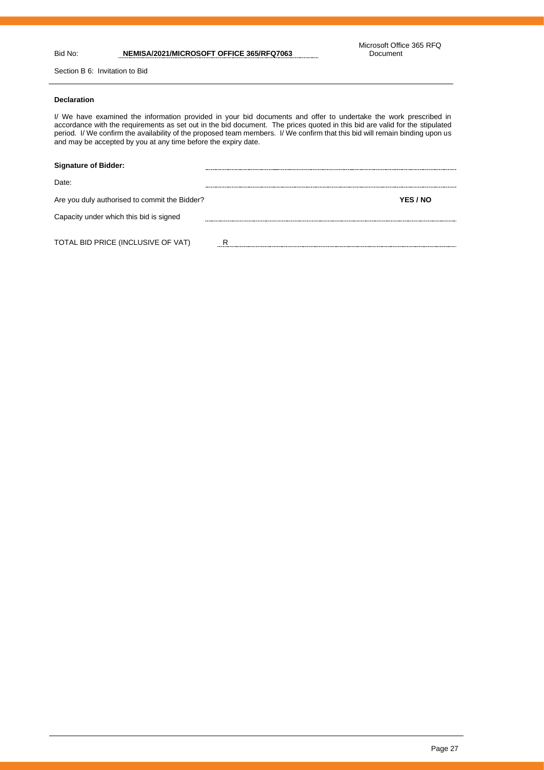Section B 6: Invitation to Bid

#### **Declaration**

I/ We have examined the information provided in your bid documents and offer to undertake the work prescribed in accordance with the requirements as set out in the bid document. The prices quoted in this bid are valid for the stipulated period. I/ We confirm the availability of the proposed team members. I/ We confirm that this bid will remain binding upon us and may be accepted by you at any time before the expiry date.

| <b>Signature of Bidder:</b>                   |          |
|-----------------------------------------------|----------|
| Date:                                         |          |
| Are you duly authorised to commit the Bidder? | YES / NO |
| Capacity under which this bid is signed       |          |
| TOTAL BID PRICE (INCLUSIVE OF VAT)            | D        |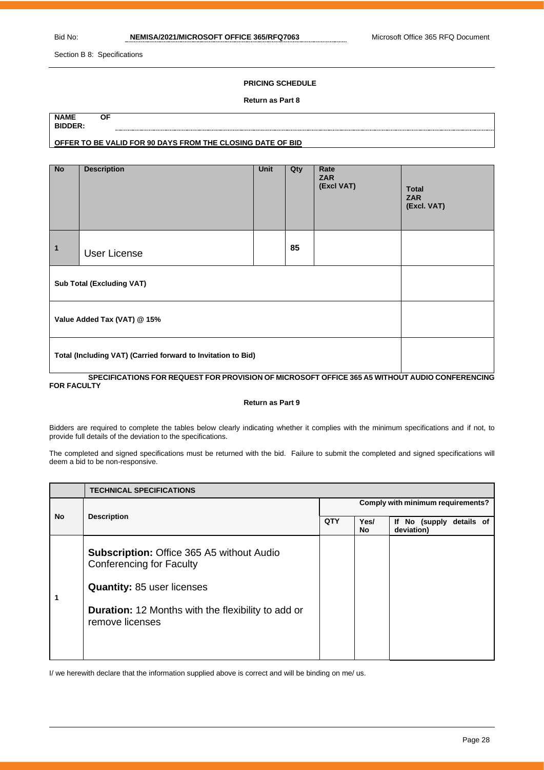Section B 8: Specifications

#### **PRICING SCHEDULE**

#### **Return as Part 8**

| <b>NAME</b>    | ΟF                                                         |
|----------------|------------------------------------------------------------|
| <b>BIDDER:</b> |                                                            |
|                |                                                            |
|                | OFFER TO BE VALID FOR 90 DAYS FROM THE CLOSING DATE OF BID |
|                |                                                            |

| <b>No</b>                                                    | <b>Description</b>  | Unit | Qty | Rate<br><b>ZAR</b><br>(Excl VAT) | <b>Total</b><br><b>ZAR</b><br>(Excl. VAT) |
|--------------------------------------------------------------|---------------------|------|-----|----------------------------------|-------------------------------------------|
| 1                                                            | <b>User License</b> |      | 85  |                                  |                                           |
| <b>Sub Total (Excluding VAT)</b>                             |                     |      |     |                                  |                                           |
| Value Added Tax (VAT) @ 15%                                  |                     |      |     |                                  |                                           |
| Total (Including VAT) (Carried forward to Invitation to Bid) |                     |      |     |                                  |                                           |

#### **SPECIFICATIONS FOR REQUEST FOR PROVISION OF MICROSOFT OFFICE 365 A5 WITHOUT AUDIO CONFERENCING FOR FACULTY**

#### **Return as Part 9**

Bidders are required to complete the tables below clearly indicating whether it complies with the minimum specifications and if not, to provide full details of the deviation to the specifications.

The completed and signed specifications must be returned with the bid. Failure to submit the completed and signed specifications will deem a bid to be non-responsive.

|    | <b>TECHNICAL SPECIFICATIONS</b>                                                                                                                                                                          |                                   |            |                                        |  |  |
|----|----------------------------------------------------------------------------------------------------------------------------------------------------------------------------------------------------------|-----------------------------------|------------|----------------------------------------|--|--|
| No |                                                                                                                                                                                                          | Comply with minimum requirements? |            |                                        |  |  |
|    | <b>Description</b>                                                                                                                                                                                       |                                   | Yes/<br>No | If No (supply details of<br>deviation) |  |  |
|    | <b>Subscription: Office 365 A5 without Audio</b><br><b>Conferencing for Faculty</b><br><b>Quantity: 85 user licenses</b><br><b>Duration:</b> 12 Months with the flexibility to add or<br>remove licenses |                                   |            |                                        |  |  |

I/ we herewith declare that the information supplied above is correct and will be binding on me/ us.